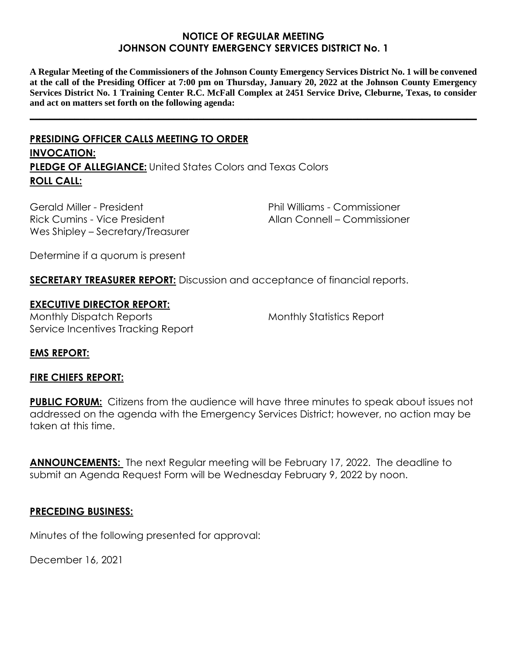### **NOTICE OF REGULAR MEETING JOHNSON COUNTY EMERGENCY SERVICES DISTRICT No. 1**

**A Regular Meeting of the Commissioners of the Johnson County Emergency Services District No. 1 will be convened at the call of the Presiding Officer at 7:00 pm on Thursday, January 20, 2022 at the Johnson County Emergency Services District No. 1 Training Center R.C. McFall Complex at 2451 Service Drive, Cleburne, Texas, to consider and act on matters set forth on the following agenda:**

**\_\_\_\_\_\_\_\_\_\_\_\_\_\_\_\_\_\_\_\_\_\_\_\_\_\_\_\_\_\_\_\_\_\_\_\_\_\_\_\_\_\_\_\_\_\_\_\_\_\_\_\_\_\_\_\_\_\_\_\_\_\_\_\_\_\_\_\_\_\_\_\_\_\_\_\_\_\_\_\_\_\_\_\_\_\_\_\_\_\_**

# **PRESIDING OFFICER CALLS MEETING TO ORDER INVOCATION: PLEDGE OF ALLEGIANCE:** United States Colors and Texas Colors **ROLL CALL:**

Gerald Miller - President Rick Cumins - Vice President Wes Shipley – Secretary/Treasurer Phil Williams - Commissioner Allan Connell – Commissioner

Determine if a quorum is present

**SECRETARY TREASURER REPORT:** Discussion and acceptance of financial reports.

### **EXECUTIVE DIRECTOR REPORT:**

Monthly Dispatch Reports Service Incentives Tracking Report Monthly Statistics Report

# **EMS REPORT:**

#### **FIRE CHIEFS REPORT:**

**PUBLIC FORUM:** Citizens from the audience will have three minutes to speak about issues not addressed on the agenda with the Emergency Services District; however, no action may be taken at this time.

**ANNOUNCEMENTS:** The next Regular meeting will be February 17, 2022. The deadline to submit an Agenda Request Form will be Wednesday February 9, 2022 by noon.

#### **PRECEDING BUSINESS:**

Minutes of the following presented for approval:

December 16, 2021